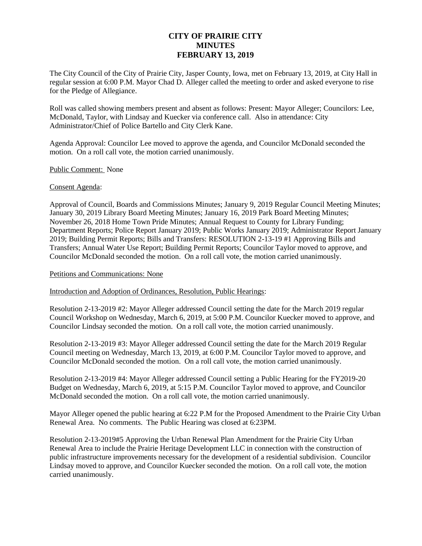# **CITY OF PRAIRIE CITY MINUTES FEBRUARY 13, 2019**

The City Council of the City of Prairie City, Jasper County, Iowa, met on February 13, 2019, at City Hall in regular session at 6:00 P.M. Mayor Chad D. Alleger called the meeting to order and asked everyone to rise for the Pledge of Allegiance.

Roll was called showing members present and absent as follows: Present: Mayor Alleger; Councilors: Lee, McDonald, Taylor, with Lindsay and Kuecker via conference call. Also in attendance: City Administrator/Chief of Police Bartello and City Clerk Kane.

Agenda Approval: Councilor Lee moved to approve the agenda, and Councilor McDonald seconded the motion. On a roll call vote, the motion carried unanimously.

## Public Comment: None

## Consent Agenda:

Approval of Council, Boards and Commissions Minutes; January 9, 2019 Regular Council Meeting Minutes; January 30, 2019 Library Board Meeting Minutes; January 16, 2019 Park Board Meeting Minutes; November 26, 2018 Home Town Pride Minutes; Annual Request to County for Library Funding; Department Reports; Police Report January 2019; Public Works January 2019; Administrator Report January 2019; Building Permit Reports; Bills and Transfers: RESOLUTION 2-13-19 #1 Approving Bills and Transfers; Annual Water Use Report; Building Permit Reports; Councilor Taylor moved to approve, and Councilor McDonald seconded the motion. On a roll call vote, the motion carried unanimously.

#### Petitions and Communications: None

Introduction and Adoption of Ordinances, Resolution, Public Hearings:

Resolution 2-13-2019 #2: Mayor Alleger addressed Council setting the date for the March 2019 regular Council Workshop on Wednesday, March 6, 2019, at 5:00 P.M. Councilor Kuecker moved to approve, and Councilor Lindsay seconded the motion. On a roll call vote, the motion carried unanimously.

Resolution 2-13-2019 #3: Mayor Alleger addressed Council setting the date for the March 2019 Regular Council meeting on Wednesday, March 13, 2019, at 6:00 P.M. Councilor Taylor moved to approve, and Councilor McDonald seconded the motion. On a roll call vote, the motion carried unanimously.

Resolution 2-13-2019 #4: Mayor Alleger addressed Council setting a Public Hearing for the FY2019-20 Budget on Wednesday, March 6, 2019, at 5:15 P.M. Councilor Taylor moved to approve, and Councilor McDonald seconded the motion. On a roll call vote, the motion carried unanimously.

Mayor Alleger opened the public hearing at 6:22 P.M for the Proposed Amendment to the Prairie City Urban Renewal Area. No comments. The Public Hearing was closed at 6:23PM.

Resolution 2-13-2019#5 Approving the Urban Renewal Plan Amendment for the Prairie City Urban Renewal Area to include the Prairie Heritage Development LLC in connection with the construction of public infrastructure improvements necessary for the development of a residential subdivision. Councilor Lindsay moved to approve, and Councilor Kuecker seconded the motion. On a roll call vote, the motion carried unanimously.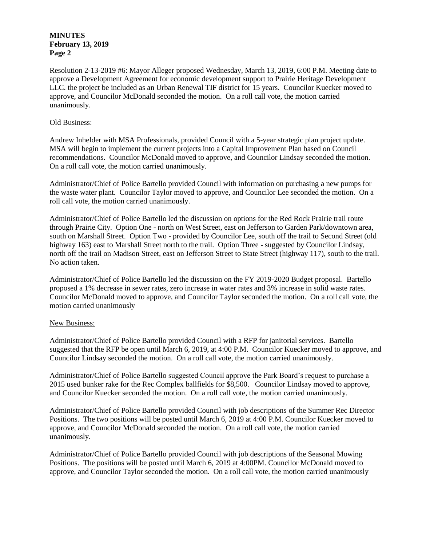# **MINUTES February 13, 2019 Page 2**

Resolution 2-13-2019 #6: Mayor Alleger proposed Wednesday, March 13, 2019, 6:00 P.M. Meeting date to approve a Development Agreement for economic development support to Prairie Heritage Development LLC. the project be included as an Urban Renewal TIF district for 15 years. Councilor Kuecker moved to approve, and Councilor McDonald seconded the motion. On a roll call vote, the motion carried unanimously.

## Old Business:

Andrew Inhelder with MSA Professionals, provided Council with a 5-year strategic plan project update. MSA will begin to implement the current projects into a Capital Improvement Plan based on Council recommendations. Councilor McDonald moved to approve, and Councilor Lindsay seconded the motion. On a roll call vote, the motion carried unanimously.

Administrator/Chief of Police Bartello provided Council with information on purchasing a new pumps for the waste water plant. Councilor Taylor moved to approve, and Councilor Lee seconded the motion. On a roll call vote, the motion carried unanimously.

Administrator/Chief of Police Bartello led the discussion on options for the Red Rock Prairie trail route through Prairie City. Option One - north on West Street, east on Jefferson to Garden Park/downtown area, south on Marshall Street. Option Two - provided by Councilor Lee, south off the trail to Second Street (old highway 163) east to Marshall Street north to the trail. Option Three - suggested by Councilor Lindsay, north off the trail on Madison Street, east on Jefferson Street to State Street (highway 117), south to the trail. No action taken.

Administrator/Chief of Police Bartello led the discussion on the FY 2019-2020 Budget proposal. Bartello proposed a 1% decrease in sewer rates, zero increase in water rates and 3% increase in solid waste rates. Councilor McDonald moved to approve, and Councilor Taylor seconded the motion. On a roll call vote, the motion carried unanimously

# New Business:

Administrator/Chief of Police Bartello provided Council with a RFP for janitorial services. Bartello suggested that the RFP be open until March 6, 2019, at 4:00 P.M. Councilor Kuecker moved to approve, and Councilor Lindsay seconded the motion. On a roll call vote, the motion carried unanimously.

Administrator/Chief of Police Bartello suggested Council approve the Park Board's request to purchase a 2015 used bunker rake for the Rec Complex ballfields for \$8,500. Councilor Lindsay moved to approve, and Councilor Kuecker seconded the motion. On a roll call vote, the motion carried unanimously.

Administrator/Chief of Police Bartello provided Council with job descriptions of the Summer Rec Director Positions. The two positions will be posted until March 6, 2019 at 4:00 P.M. Councilor Kuecker moved to approve, and Councilor McDonald seconded the motion. On a roll call vote, the motion carried unanimously.

Administrator/Chief of Police Bartello provided Council with job descriptions of the Seasonal Mowing Positions. The positions will be posted until March 6, 2019 at 4:00PM. Councilor McDonald moved to approve, and Councilor Taylor seconded the motion. On a roll call vote, the motion carried unanimously